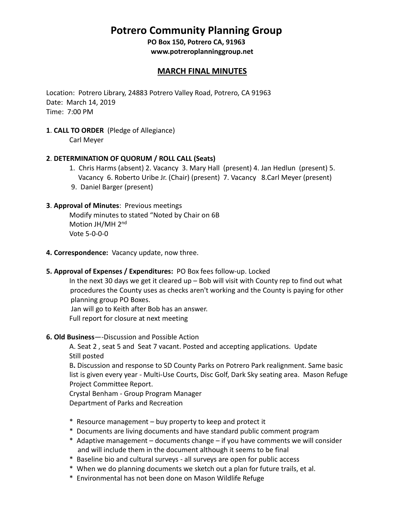# **Potrero Community Planning Group**

**PO Box 150, Potrero CA, 91963 [www.potreroplanninggroup.net](http://www.potreroplanninggroup.net/)**

## **MARCH FINAL MINUTES**

Location: Potrero Library, 24883 Potrero Valley Road, Potrero, CA 91963 Date: March 14, 2019 Time: 7:00 PM

**1**. **CALL TO ORDER** (Pledge of Allegiance)

Carl Meyer

### **2**. **DETERMINATION OF QUORUM / ROLL CALL (Seats)**

- 1. Chris Harms (absent) 2. Vacancy 3. Mary Hall (present) 4. Jan Hedlun (present) 5. Vacancy 6. Roberto Uribe Jr. (Chair) (present) 7. Vacancy 8.Carl Meyer (present)
- 9. Daniel Barger (present)

### **3**. **Approval of Minutes**: Previous meetings

Modify minutes to stated "Noted by Chair on 6B Motion JH/MH 2<sup>nd</sup> Vote 5-0-0-0

- **4. Correspondence:** Vacancy update, now three.
- **5. Approval of Expenses / Expenditures:** PO Box fees follow-up. Locked

In the next 30 days we get it cleared up – Bob will visit with County rep to find out what procedures the County uses as checks aren't working and the County is paying for other planning group PO Boxes.

Jan will go to Keith after Bob has an answer. Full report for closure at next meeting

### **6. Old Business**—-Discussion and Possible Action

A. Seat 2 , seat 5 and Seat 7 vacant. Posted and accepting applications. Update Still posted

 B**.** Discussion and response to SD County Parks on Potrero Park realignment. Same basic list is given every year - Multi-Use Courts, Disc Golf, Dark Sky seating area. Mason Refuge Project Committee Report.

Crystal Benham - Group Program Manager Department of Parks and Recreation

- \* Resource management buy property to keep and protect it
- \* Documents are living documents and have standard public comment program
- \* Adaptive management documents change if you have comments we will consider and will include them in the document although it seems to be final
- \* Baseline bio and cultural surveys all surveys are open for public access
- \* When we do planning documents we sketch out a plan for future trails, et al.
- \* Environmental has not been done on Mason Wildlife Refuge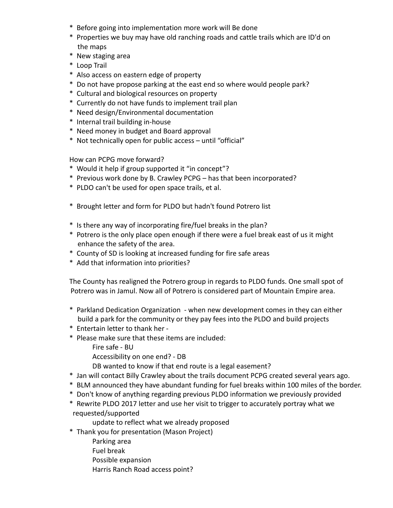- \* Before going into implementation more work will Be done
- \* Properties we buy may have old ranching roads and cattle trails which are ID'd on the maps
- \* New staging area
- \* Loop Trail
- \* Also access on eastern edge of property
- \* Do not have propose parking at the east end so where would people park?
- \* Cultural and biological resources on property
- \* Currently do not have funds to implement trail plan
- \* Need design/Environmental documentation
- \* Internal trail building in-house
- \* Need money in budget and Board approval
- \* Not technically open for public access until "official"

How can PCPG move forward?

- \* Would it help if group supported it "in concept"?
- \* Previous work done by B. Crawley PCPG has that been incorporated?
- \* PLDO can't be used for open space trails, et al.
- \* Brought letter and form for PLDO but hadn't found Potrero list
- \* Is there any way of incorporating fire/fuel breaks in the plan?
- \* Potrero is the only place open enough if there were a fuel break east of us it might enhance the safety of the area.
- \* County of SD is looking at increased funding for fire safe areas
- \* Add that information into priorities?

The County has realigned the Potrero group in regards to PLDO funds. One small spot of Potrero was in Jamul. Now all of Potrero is considered part of Mountain Empire area.

- \* Parkland Dedication Organization when new development comes in they can either build a park for the community or they pay fees into the PLDO and build projects
- \* Entertain letter to thank her -
- \* Please make sure that these items are included:
	- Fire safe BU

Accessibility on one end? - DB

DB wanted to know if that end route is a legal easement?

- \* Jan will contact Billy Crawley about the trails document PCPG created several years ago.
- \* BLM announced they have abundant funding for fuel breaks within 100 miles of the border.
- \* Don't know of anything regarding previous PLDO information we previously provided
- \* Rewrite PLDO 2017 letter and use her visit to trigger to accurately portray what we requested/supported

update to reflect what we already proposed

- \* Thank you for presentation (Mason Project)
	- Parking area
	- Fuel break
	- Possible expansion
	- Harris Ranch Road access point?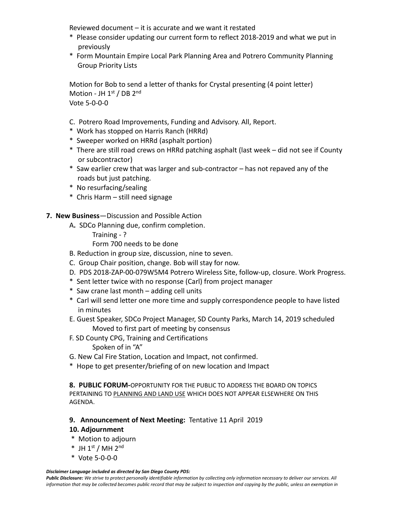Reviewed document – it is accurate and we want it restated

- \* Please consider updating our current form to reflect 2018-2019 and what we put in previously
- \* Form Mountain Empire Local Park Planning Area and Potrero Community Planning Group Priority Lists

Motion for Bob to send a letter of thanks for Crystal presenting (4 point letter) Motion - JH  $1<sup>st</sup>$  / DB  $2<sup>nd</sup>$ Vote 5-0-0-0

- C. Potrero Road Improvements, Funding and Advisory. All, Report.
- \* Work has stopped on Harris Ranch (HRRd)
- \* Sweeper worked on HRRd (asphalt portion)
- \* There are still road crews on HRRd patching asphalt (last week did not see if County or subcontractor)
- \* Saw earlier crew that was larger and sub-contractor has not repaved any of the roads but just patching.
- \* No resurfacing/sealing
- \* Chris Harm still need signage

### **7. New Business**—Discussion and Possible Action

- A**.** SDCo Planning due, confirm completion.
	- Training ?

Form 700 needs to be done

- B. Reduction in group size, discussion, nine to seven.
- C. Group Chair position, change. Bob will stay for now.
- D. PDS 2018-ZAP-00-079W5M4 Potrero Wireless Site, follow-up, closure. Work Progress.
- \* Sent letter twice with no response (Carl) from project manager
- \* Saw crane last month adding cell units
- \* Carl will send letter one more time and supply correspondence people to have listed in minutes
- E. Guest Speaker, SDCo Project Manager, SD County Parks, March 14, 2019 scheduled Moved to first part of meeting by consensus
- F. SD County CPG, Training and Certifications
	- Spoken of in "A"
- G. New Cal Fire Station, Location and Impact, not confirmed.
- \* Hope to get presenter/briefing of on new location and Impact

**8. PUBLIC FORUM-**OPPORTUNITY FOR THE PUBLIC TO ADDRESS THE BOARD ON TOPICS PERTAINING TO PLANNING AND LAND USE WHICH DOES NOT APPEAR ELSEWHERE ON THIS AGENDA.

### **9. Announcement of Next Meeting:** Tentative 11 April 2019

### **10. Adjournment**

- \* Motion to adjourn
- $*$  JH  $1<sup>st</sup>$  / MH  $2<sup>nd</sup>$
- \* Vote 5-0-0-0

*Disclaimer Language included as directed by San Diego County PDS:*